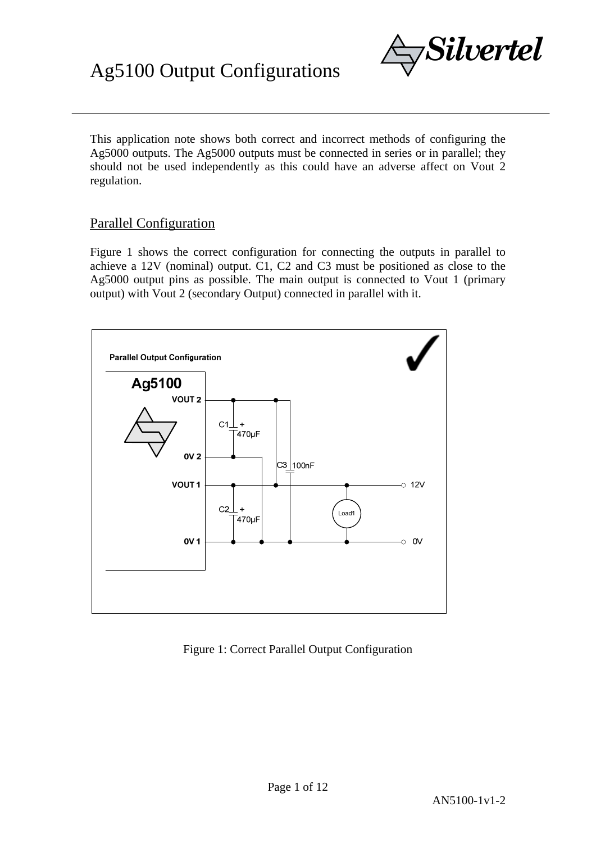

This application note shows both correct and incorrect methods of configuring the Ag5000 outputs. The Ag5000 outputs must be connected in series or in parallel; they should not be used independently as this could have an adverse affect on Vout 2 regulation.

#### Parallel Configuration

Figure 1 shows the correct configuration for connecting the outputs in parallel to achieve a 12V (nominal) output. C1, C2 and C3 must be positioned as close to the Ag5000 output pins as possible. The main output is connected to Vout 1 (primary output) with Vout 2 (secondary Output) connected in parallel with it.



#### Figure 1: Correct Parallel Output Configuration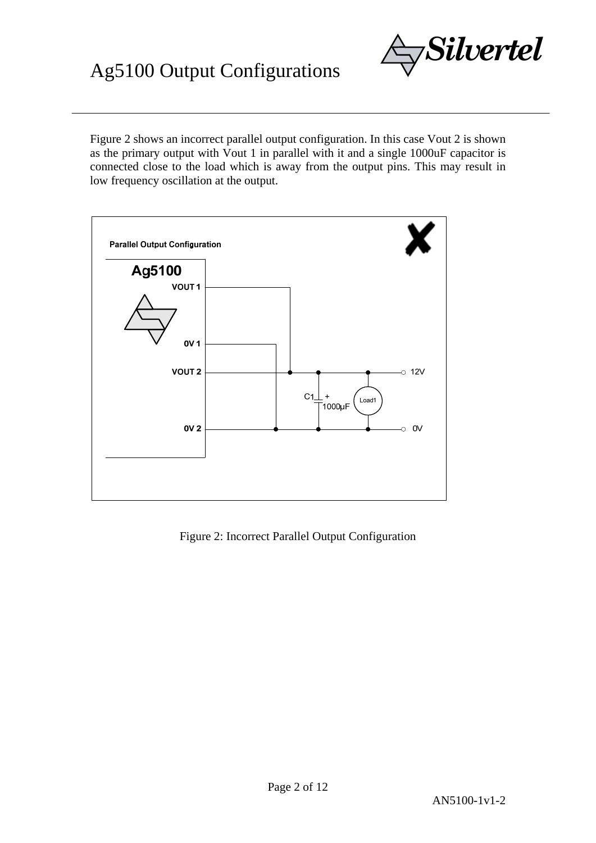Figure 2 shows an incorrect parallel output configuration. In this case Vout 2 is shown as the primary output with Vout 1 in parallel with it and a single 1000uF capacitor is connected close to the load which is away from the output pins. This may result in low frequency oscillation at the output.



Figure 2: Incorrect Parallel Output Configuration

*Silvertel*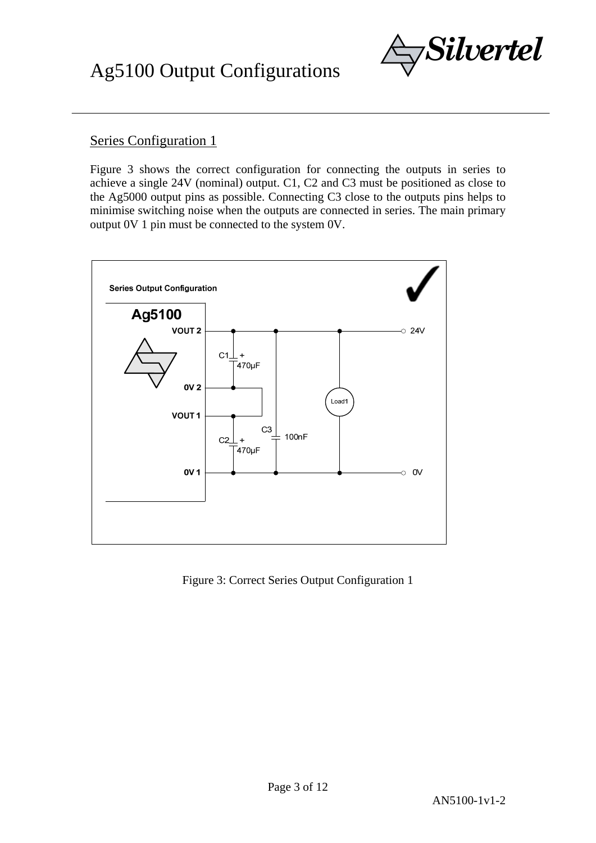

### Series Configuration 1

Figure 3 shows the correct configuration for connecting the outputs in series to achieve a single 24V (nominal) output. C1, C2 and C3 must be positioned as close to the Ag5000 output pins as possible. Connecting C3 close to the outputs pins helps to minimise switching noise when the outputs are connected in series. The main primary output 0V 1 pin must be connected to the system 0V.



Figure 3: Correct Series Output Configuration 1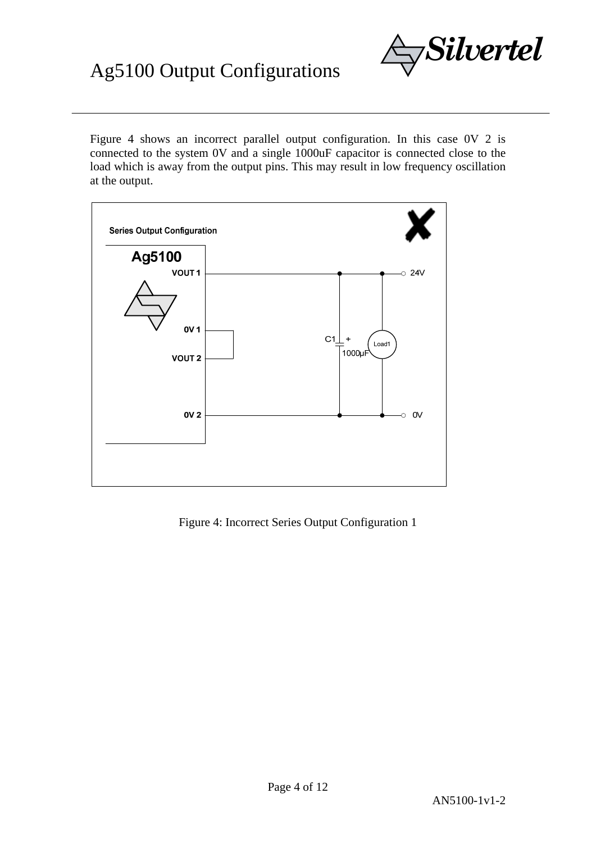Figure 4 shows an incorrect parallel output configuration. In this case 0V 2 is connected to the system 0V and a single 1000uF capacitor is connected close to the load which is away from the output pins. This may result in low frequency oscillation at the output.

*Silvertel* 



Figure 4: Incorrect Series Output Configuration 1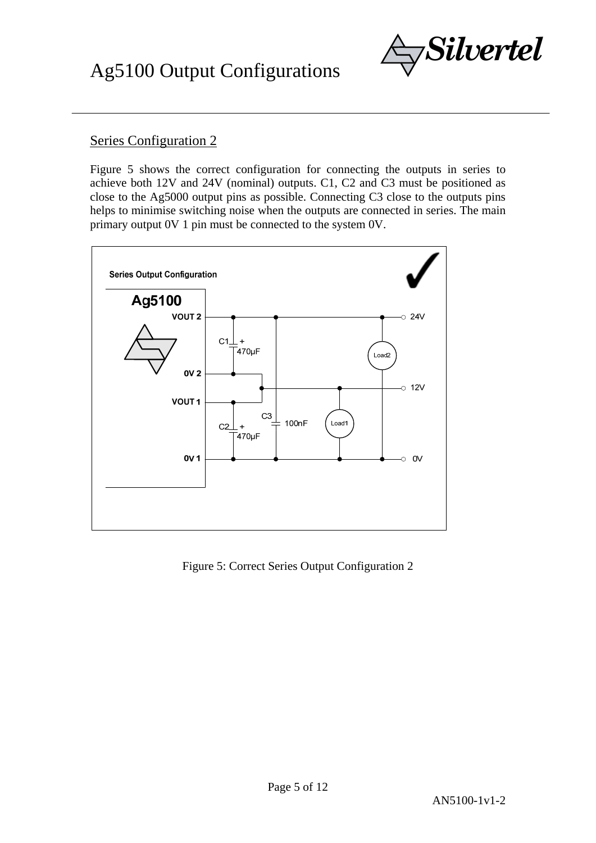

Figure 5 shows the correct configuration for connecting the outputs in series to achieve both 12V and 24V (nominal) outputs. C1, C2 and C3 must be positioned as close to the Ag5000 output pins as possible. Connecting C3 close to the outputs pins helps to minimise switching noise when the outputs are connected in series. The main primary output 0V 1 pin must be connected to the system 0V.



Figure 5: Correct Series Output Configuration 2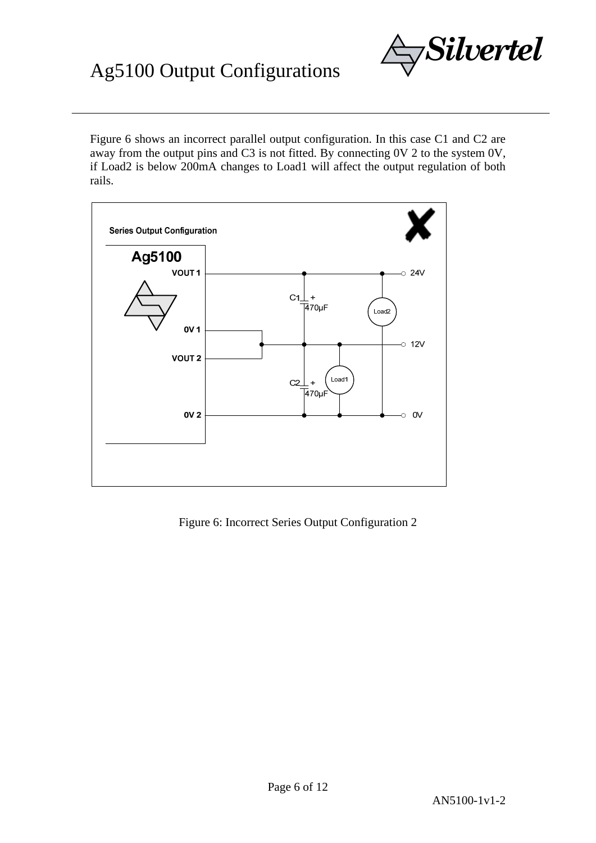Figure 6 shows an incorrect parallel output configuration. In this case C1 and C2 are away from the output pins and C3 is not fitted. By connecting 0V 2 to the system 0V, if Load2 is below 200mA changes to Load1 will affect the output regulation of both rails.



Figure 6: Incorrect Series Output Configuration 2

*Silvertel*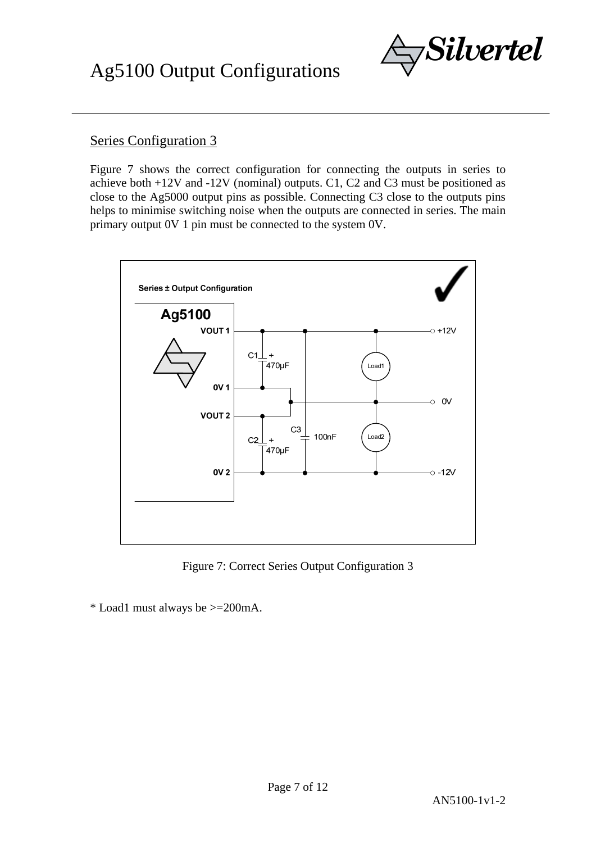

Figure 7 shows the correct configuration for connecting the outputs in series to achieve both +12V and -12V (nominal) outputs. C1, C2 and C3 must be positioned as close to the Ag5000 output pins as possible. Connecting C3 close to the outputs pins helps to minimise switching noise when the outputs are connected in series. The main primary output 0V 1 pin must be connected to the system 0V.



Figure 7: Correct Series Output Configuration 3

\* Load1 must always be >=200mA.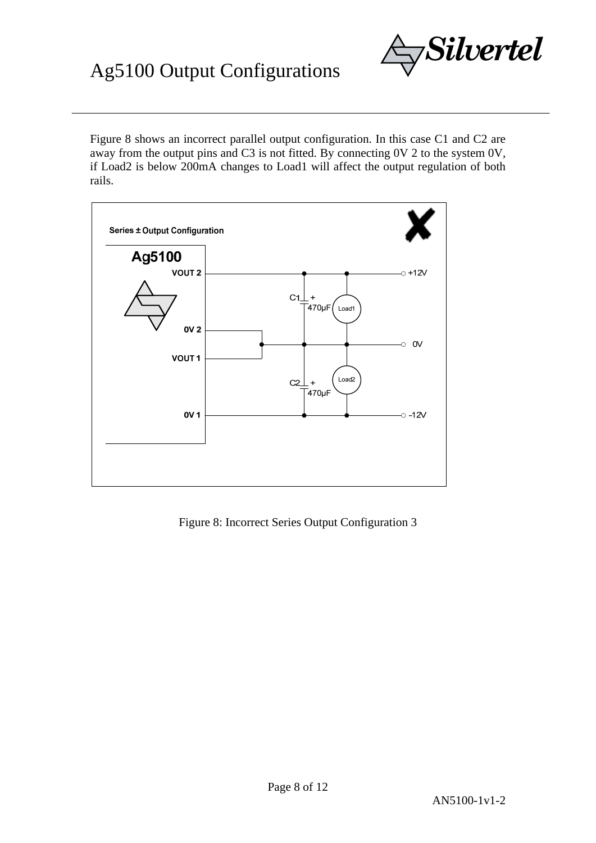Figure 8 shows an incorrect parallel output configuration. In this case C1 and C2 are away from the output pins and C3 is not fitted. By connecting 0V 2 to the system 0V, if Load2 is below 200mA changes to Load1 will affect the output regulation of both rails.



Figure 8: Incorrect Series Output Configuration 3

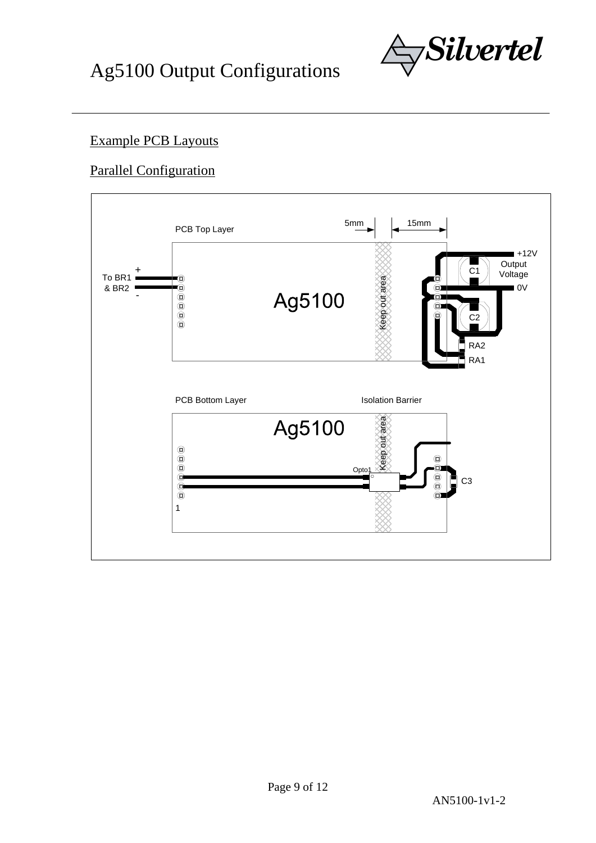

### Example PCB Layouts

### Parallel Configuration

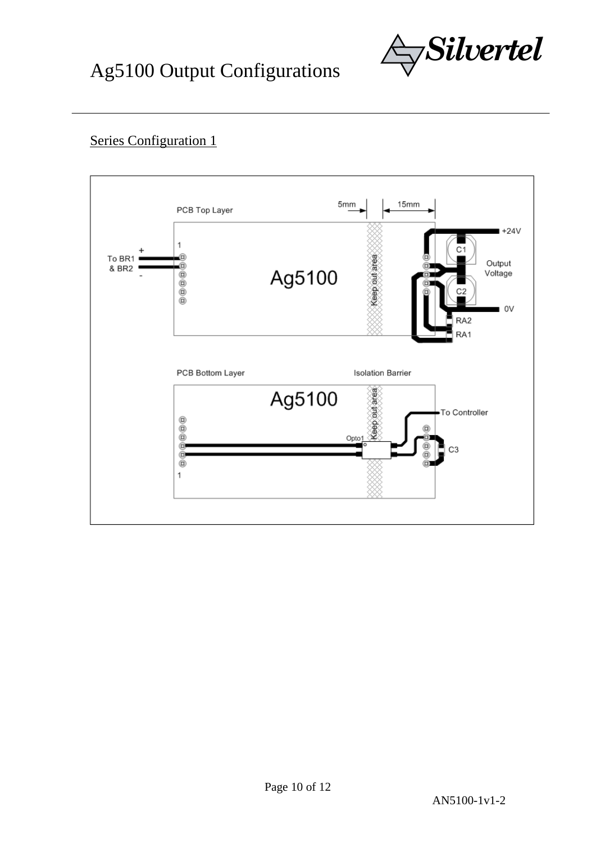

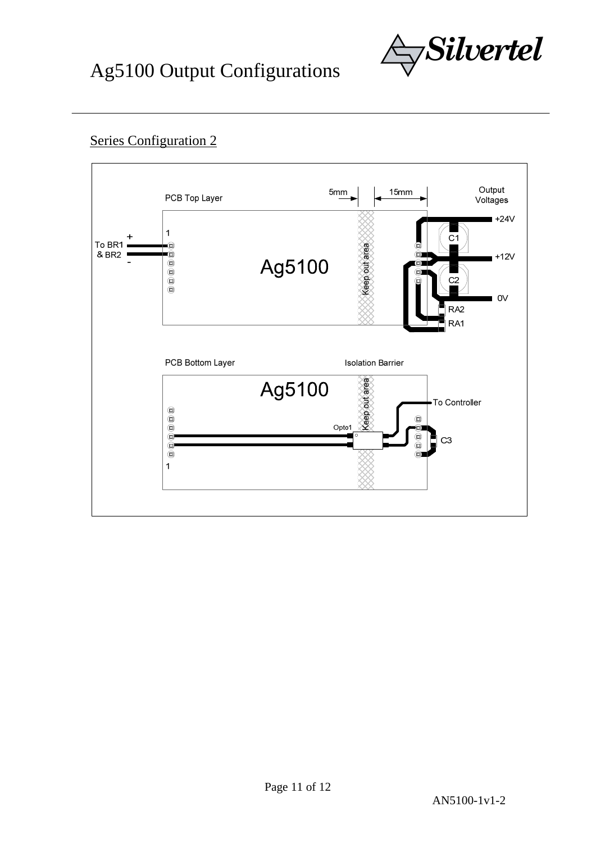